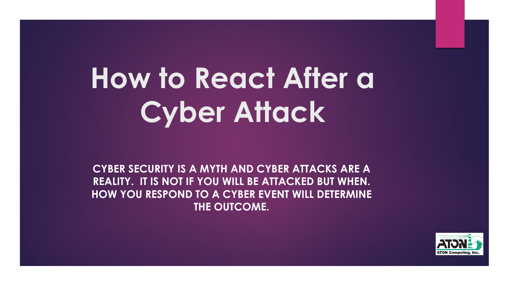# **How to React After a Cyber Attack**

**CYBER SECURITY IS A MYTH AND CYBER ATTACKS ARE A REALITY. IT IS NOT IF YOU WILL BE ATTACKED BUT WHEN. HOW YOU RESPOND TO A CYBER EVENT WILL DETERMINE THE OUTCOME.** 

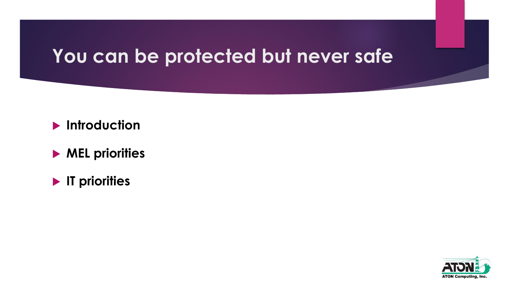# **You can be protected but never safe**

- **Introduction**
- $\blacktriangleright$  **MEL priorities**
- **IT priorities**

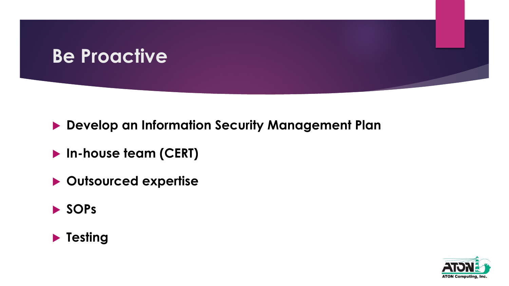### **Be Proactive**

- **Develop an Information Security Management Plan**
- **In-house team (CERT)**
- **Dutsourced expertise**
- u **SOPs**



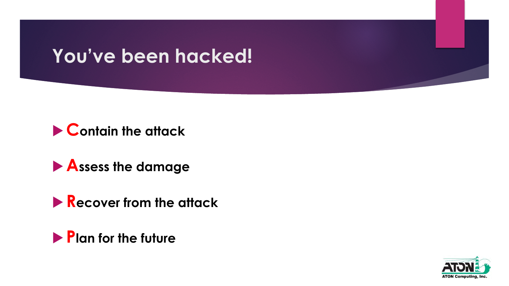# **You've been hacked!**





**Recover from the attack** 



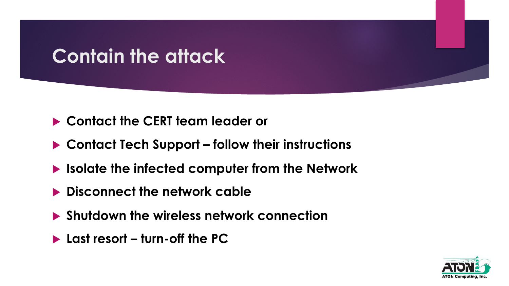# **Contain the attack**

- **► Contact the CERT team leader or**
- ▶ Contact Tech Support follow their instructions
- **In It also late the infected computer from the Network**
- **Example 2 Disconnect the network cable**
- **Example 1 Shutdown the wireless network connection**
- ▶ Last resort turn-off the PC

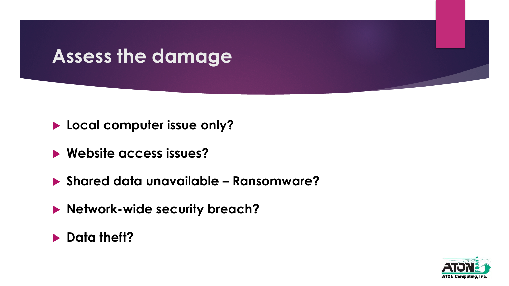# **Assess the damage**

- **Local computer issue only?**
- **EXECUTE: Website access issues?**
- u **Shared data unavailable Ransomware?**
- **Network-wide security breach?**
- **Data theft?**

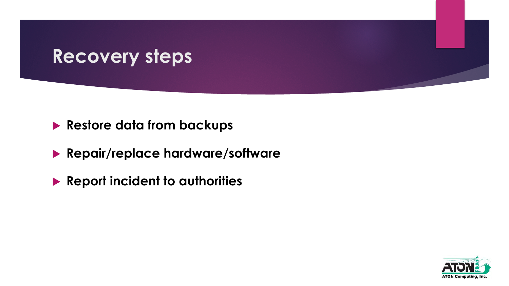#### **Recovery steps**

- **Restore data from backups**
- **Repair/replace hardware/software**
- **Report incident to authorities**

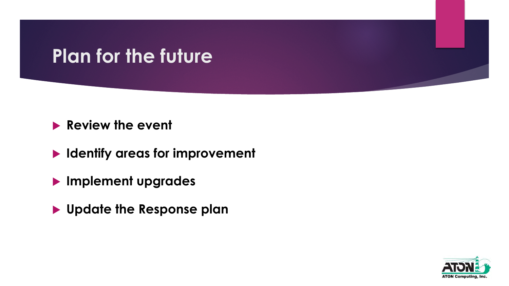# **Plan for the future**

#### **Review the event**

- **IDENTIFY ATTER STATES FOR IMPROVEMENT**
- **Implement upgrades**
- $\blacktriangleright$  **Update the Response plan**

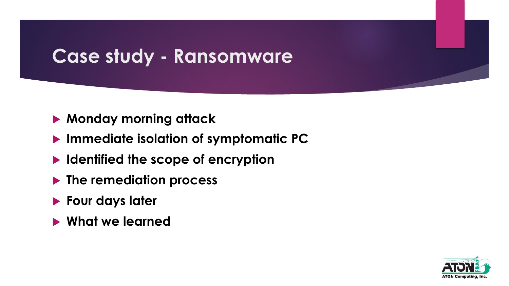# **Case study - Ransomware**

- **Monday morning attack**
- **Immediate isolation of symptomatic PC**
- **IDENTIFIED THE SCOPE OF ENCRYPTION**
- **Figure 1 > The remediation process**
- **Four days later**
- **E** What we learned

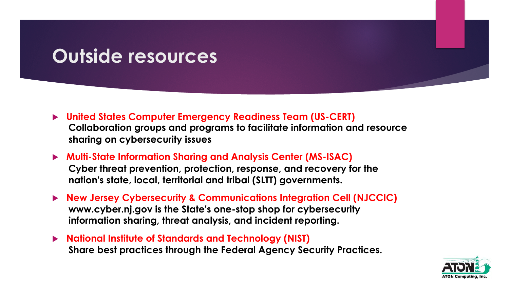# **Outside resources**

- ▶ United States Computer Emergency Readiness Team (US-CERT) **Collaboration groups and programs to facilitate information and resource sharing on cybersecurity issues**
- ▶ Multi-State Information Sharing and Analysis Center (MS-ISAC) **Cyber threat prevention, protection, response, and recovery for the nation's state, local, territorial and tribal (SLTT) governments.**
- ▶ New Jersey Cybersecurity & Communications Integration Cell (NJCCIC) **www.cyber.nj.gov is the State's one-stop shop for cybersecurity information sharing, threat analysis, and incident reporting.**
- ▶ National Institute of Standards and Technology (NIST) **Share best practices through the Federal Agency Security Practices.**